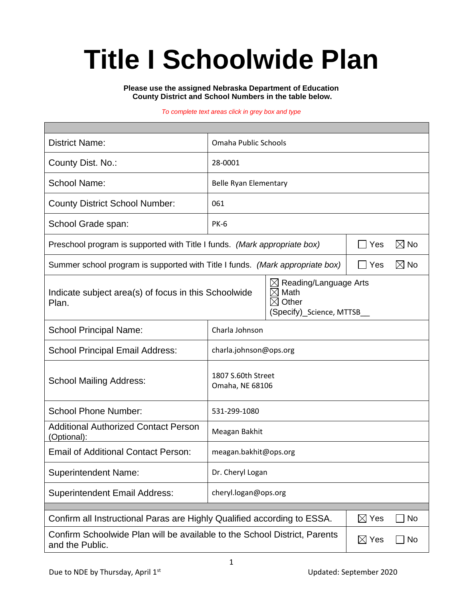# **Title I Schoolwide Plan**

**Please use the assigned Nebraska Department of Education County District and School Numbers in the table below.**

#### *To complete text areas click in grey box and type*

| <b>District Name:</b>                                                                                                                                      | Omaha Public Schools                  |     |                |                |  |
|------------------------------------------------------------------------------------------------------------------------------------------------------------|---------------------------------------|-----|----------------|----------------|--|
| County Dist. No.:                                                                                                                                          | 28-0001                               |     |                |                |  |
| <b>School Name:</b>                                                                                                                                        | Belle Ryan Elementary                 |     |                |                |  |
| <b>County District School Number:</b>                                                                                                                      | 061                                   |     |                |                |  |
| School Grade span:                                                                                                                                         | <b>PK-6</b>                           |     |                |                |  |
| Preschool program is supported with Title I funds. (Mark appropriate box)                                                                                  |                                       | Yes | $\boxtimes$ No |                |  |
| Summer school program is supported with Title I funds. (Mark appropriate box)                                                                              |                                       |     |                | $\boxtimes$ No |  |
| Reading/Language Arts<br>⊠<br>Math<br>Indicate subject area(s) of focus in this Schoolwide<br>$\times$<br>Other<br>M<br>Plan.<br>(Specify)_Science, MTTSB_ |                                       |     |                |                |  |
| <b>School Principal Name:</b>                                                                                                                              | Charla Johnson                        |     |                |                |  |
| <b>School Principal Email Address:</b>                                                                                                                     | charla.johnson@ops.org                |     |                |                |  |
| <b>School Mailing Address:</b>                                                                                                                             | 1807 S.60th Street<br>Omaha, NE 68106 |     |                |                |  |
| <b>School Phone Number:</b>                                                                                                                                | 531-299-1080                          |     |                |                |  |
| <b>Additional Authorized Contact Person</b><br>(Optional):                                                                                                 | Meagan Bakhit                         |     |                |                |  |
| <b>Email of Additional Contact Person:</b>                                                                                                                 | meagan.bakhit@ops.org                 |     |                |                |  |
| <b>Superintendent Name:</b>                                                                                                                                | Dr. Cheryl Logan                      |     |                |                |  |
| <b>Superintendent Email Address:</b>                                                                                                                       | cheryl.logan@ops.org                  |     |                |                |  |
| Confirm all Instructional Paras are Highly Qualified according to ESSA.<br>$\boxtimes$ Yes<br><b>No</b>                                                    |                                       |     |                |                |  |
| Confirm Schoolwide Plan will be available to the School District, Parents<br>$\boxtimes$ Yes<br><b>No</b><br>and the Public.                               |                                       |     |                |                |  |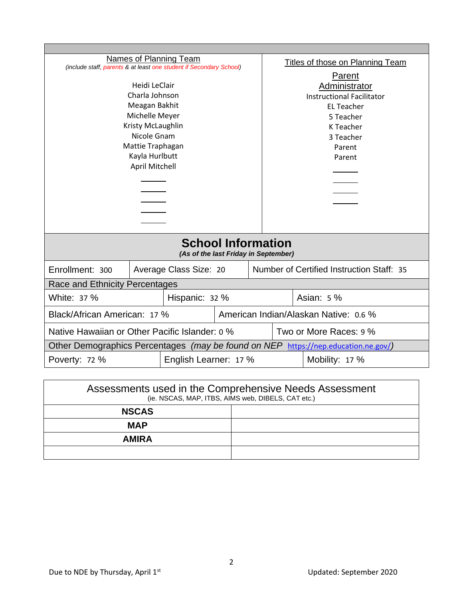| <b>Names of Planning Team</b><br>(include staff, parents & at least one student if Secondary School) |                        |  |        | Titles of those on Planning Team          |                                  |  |  |
|------------------------------------------------------------------------------------------------------|------------------------|--|--------|-------------------------------------------|----------------------------------|--|--|
|                                                                                                      |                        |  | Parent |                                           |                                  |  |  |
| Heidi LeClair                                                                                        |                        |  |        | Administrator                             |                                  |  |  |
|                                                                                                      | Charla Johnson         |  |        |                                           | <b>Instructional Facilitator</b> |  |  |
| Meagan Bakhit                                                                                        |                        |  |        | <b>EL Teacher</b>                         |                                  |  |  |
| Michelle Meyer                                                                                       |                        |  |        | 5 Teacher                                 |                                  |  |  |
| Kristy McLaughlin                                                                                    |                        |  |        | K Teacher                                 |                                  |  |  |
| Nicole Gnam                                                                                          |                        |  |        | 3 Teacher                                 |                                  |  |  |
| Mattie Traphagan                                                                                     |                        |  |        | Parent                                    |                                  |  |  |
| Kayla Hurlbutt                                                                                       |                        |  | Parent |                                           |                                  |  |  |
| April Mitchell                                                                                       |                        |  |        |                                           |                                  |  |  |
|                                                                                                      |                        |  |        |                                           |                                  |  |  |
|                                                                                                      |                        |  |        |                                           |                                  |  |  |
|                                                                                                      |                        |  |        |                                           |                                  |  |  |
|                                                                                                      |                        |  |        |                                           |                                  |  |  |
|                                                                                                      |                        |  |        |                                           |                                  |  |  |
| <b>School Information</b><br>(As of the last Friday in September)                                    |                        |  |        |                                           |                                  |  |  |
|                                                                                                      |                        |  |        |                                           |                                  |  |  |
| Enrollment: 300                                                                                      | Average Class Size: 20 |  |        | Number of Certified Instruction Staff: 35 |                                  |  |  |
| Race and Ethnicity Percentages                                                                       |                        |  |        |                                           |                                  |  |  |
| White: 37 %<br>Hispanic: 32 %                                                                        |                        |  |        |                                           | Asian: 5 %                       |  |  |
| Black/African American: 17 %                                                                         |                        |  |        | American Indian/Alaskan Native: 0.6 %     |                                  |  |  |
| Native Hawaiian or Other Pacific Islander: 0 %                                                       |                        |  |        |                                           | Two or More Races: 9 %           |  |  |
| Other Demographics Percentages (may be found on NEP https://nep.education.ne.gov/)                   |                        |  |        |                                           |                                  |  |  |
| English Learner: 17 %<br>Mobility: 17 %<br>Poverty: 72 %                                             |                        |  |        |                                           |                                  |  |  |

| Assessments used in the Comprehensive Needs Assessment<br>(ie. NSCAS, MAP, ITBS, AIMS web, DIBELS, CAT etc.) |  |  |  |  |
|--------------------------------------------------------------------------------------------------------------|--|--|--|--|
| <b>NSCAS</b>                                                                                                 |  |  |  |  |
| <b>MAP</b>                                                                                                   |  |  |  |  |
| <b>AMIRA</b>                                                                                                 |  |  |  |  |
|                                                                                                              |  |  |  |  |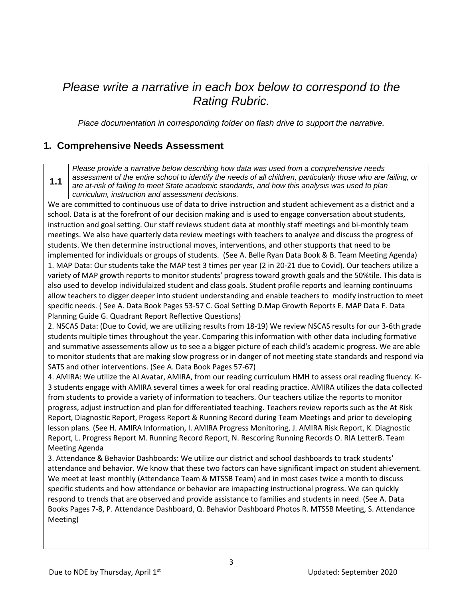## *Please write a narrative in each box below to correspond to the Rating Rubric.*

*Place documentation in corresponding folder on flash drive to support the narrative.*

#### **1. Comprehensive Needs Assessment**

**1.1** *Please provide a narrative below describing how data was used from a comprehensive needs assessment of the entire school to identify the needs of all children, particularly those who are failing, or are at-risk of failing to meet State academic standards, and how this analysis was used to plan curriculum, instruction and assessment decisions.* We are committed to continuous use of data to drive instruction and student achievement as a district and a school. Data is at the forefront of our decision making and is used to engage conversation about students, instruction and goal setting. Our staff reviews student data at monthly staff meetings and bi-monthly team meetings. We also have quarterly data review meetings with teachers to analyze and discuss the progress of students. We then determine instructional moves, interventions, and other stupports that need to be implemented for individuals or groups of students. (See A. Belle Ryan Data Book & B. Team Meeting Agenda) 1. MAP Data: Our students take the MAP test 3 times per year (2 in 20-21 due to Covid). Our teachers utilize a variety of MAP growth reports to monitor students' progress toward growth goals and the 50%tile. This data is also used to develop individulaized student and class goals. Student profile reports and learning continuums allow teachers to digger deeper into student understanding and enable teachers to modify instruction to meet specific needs. ( See A. Data Book Pages 53-57 C. Goal Setting D.Map Growth Reports E. MAP Data F. Data Planning Guide G. Quadrant Report Reflective Questions) 2. NSCAS Data: (Due to Covid, we are utilizing results from 18-19) We review NSCAS results for our 3-6th grade students multiple times throughout the year. Comparing this information with other data including formative and summative assessements allow us to see a a bigger picture of each child's academic progress. We are able to monitor students that are making slow progress or in danger of not meeting state standards and respond via SATS and other interventions. (See A. Data Book Pages 57-67) 4. AMIRA: We utilize the AI Avatar, AMIRA, from our reading curriculum HMH to assess oral reading fluency. K-3 students engage with AMIRA several times a week for oral reading practice. AMIRA utilizes the data collected from students to provide a variety of information to teachers. Our teachers utilize the reports to monitor progress, adjust instruction and plan for differentiated teaching. Teachers review reports such as the At Risk Report, Diagnostic Report, Progess Report & Running Record during Team Meetings and prior to developing lesson plans. (See H. AMIRA Information, I. AMIRA Progress Monitoring, J. AMIRA Risk Report, K. Diagnostic Report, L. Progress Report M. Running Record Report, N. Rescoring Running Records O. RIA LetterB. Team Meeting Agenda

3. Attendance & Behavior Dashboards: We utilize our district and school dashboards to track students' attendance and behavior. We know that these two factors can have significant impact on student ahievement. We meet at least monthly (Attendance Team & MTSSB Team) and in most cases twice a month to discuss specific students and how attendance or behavior are imapacting instructional progress. We can quickly respond to trends that are observed and provide assistance to families and students in need. (See A. Data Books Pages 7-8, P. Attendance Dashboard, Q. Behavior Dashboard Photos R. MTSSB Meeting, S. Attendance Meeting)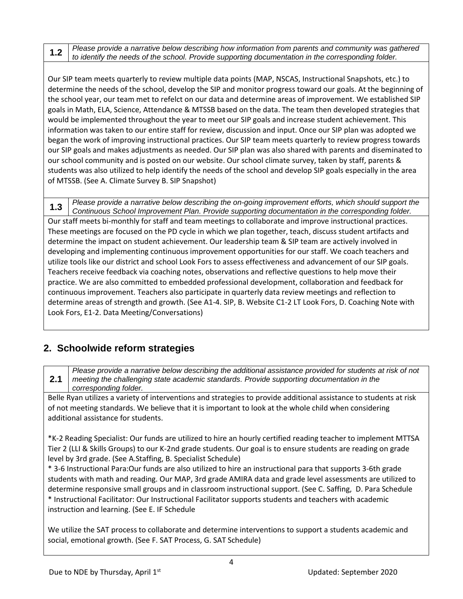**1.2** *Please provide a narrative below describing how information from parents and community was gathered to identify the needs of the school. Provide supporting documentation in the corresponding folder.*

Our SIP team meets quarterly to review multiple data points (MAP, NSCAS, Instructional Snapshots, etc.) to determine the needs of the school, develop the SIP and monitor progress toward our goals. At the beginning of the school year, our team met to refelct on our data and determine areas of improvement. We established SIP goals in Math, ELA, Science, Attendance & MTSSB based on the data. The team then developed strategies that would be implemented throughout the year to meet our SIP goals and increase student achievement. This information was taken to our entire staff for review, discussion and input. Once our SIP plan was adopted we began the work of improving instructional practices. Our SIP team meets quarterly to review progress towards our SIP goals and makes adjustments as needed. Our SIP plan was also shared with parents and diseminated to our school community and is posted on our website. Our school climate survey, taken by staff, parents & students was also utilized to help identify the needs of the school and develop SIP goals especially in the area of MTSSB. (See A. Climate Survey B. SIP Snapshot)

**1.3** *Please provide a narrative below describing the on-going improvement efforts, which should support the Continuous School Improvement Plan. Provide supporting documentation in the corresponding folder.* Our staff meets bi-monthly for staff and team meetings to collaborate and improve instructional practices. These meetings are focused on the PD cycle in which we plan together, teach, discuss student artifacts and determine the impact on student achievement. Our leadership team & SIP team are actively involved in developing and implementing continuous improvement opportunities for our staff. We coach teachers and utilize tools like our district and school Look Fors to assess effectiveness and advancement of our SIP goals. Teachers receive feedback via coaching notes, observations and reflective questions to help move their practice. We are also committed to embedded professional development, collaboration and feedback for continuous improvement. Teachers also participate in quarterly data review meetings and reflection to determine areas of strength and growth. (See A1-4. SIP, B. Website C1-2 LT Look Fors, D. Coaching Note with Look Fors, E1-2. Data Meeting/Conversations)

#### **2. Schoolwide reform strategies**

**2.1** *Please provide a narrative below describing the additional assistance provided for students at risk of not meeting the challenging state academic standards. Provide supporting documentation in the corresponding folder.*

Belle Ryan utilizes a variety of interventions and strategies to provide additional assistance to students at risk of not meeting standards. We believe that it is important to look at the whole child when considering additional assistance for students.

\*K-2 Reading Specialist: Our funds are utilized to hire an hourly certified reading teacher to implement MTTSA Tier 2 (LLI & Skills Groups) to our K-2nd grade students. Our goal is to ensure students are reading on grade level by 3rd grade. (See A.Staffing, B. Specialist Schedule)

\* 3-6 Instructional Para:Our funds are also utilized to hire an instructional para that supports 3-6th grade students with math and reading. Our MAP, 3rd grade AMIRA data and grade level assessments are utilized to determine responsive small groups and in classroom instructional support. (See C. Saffing, D. Para Schedule \* Instructional Facilitator: Our Instructional Facilitator supports students and teachers with academic instruction and learning. (See E. IF Schedule

We utilize the SAT process to collaborate and determine interventions to support a students academic and social, emotional growth. (See F. SAT Process, G. SAT Schedule)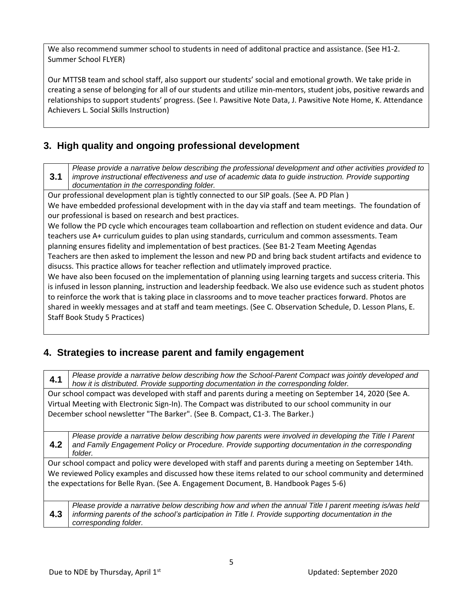We also recommend summer school to students in need of additonal practice and assistance. (See H1-2. Summer School FLYER)

Our MTTSB team and school staff, also support our students' social and emotional growth. We take pride in creating a sense of belonging for all of our students and utilize min-mentors, student jobs, positive rewards and relationships to support students' progress. (See I. Pawsitive Note Data, J. Pawsitive Note Home, K. Attendance Achievers L. Social Skills Instruction)

#### **3. High quality and ongoing professional development**

**3.1** *Please provide a narrative below describing the professional development and other activities provided to improve instructional effectiveness and use of academic data to guide instruction. Provide supporting documentation in the corresponding folder.*

Our professional development plan is tightly connected to our SIP goals. (See A. PD Plan )

We have embedded professional development with in the day via staff and team meetings. The foundation of our professional is based on research and best practices.

We follow the PD cycle which encourages team collaboartion and reflection on student evidence and data. Our teachers use A+ curriculum guides to plan using standards, curriculum and common assessments. Team planning ensures fidelity and implementation of best practices. (See B1-2 Team Meeting Agendas

Teachers are then asked to implement the lesson and new PD and bring back student artifacts and evidence to disucss. This practice allows for teacher reflection and utlimately improved practice.

We have also been focused on the implementation of planning using learning targets and success criteria. This is infused in lesson planning, instruction and leadership feedback. We also use evidence such as student photos to reinforce the work that is taking place in classrooms and to move teacher practices forward. Photos are shared in weekly messages and at staff and team meetings. (See C. Observation Schedule, D. Lesson Plans, E. Staff Book Study 5 Practices)

#### **4. Strategies to increase parent and family engagement**

**4.1** *Please provide a narrative below describing how the School-Parent Compact was jointly developed and how it is distributed. Provide supporting documentation in the corresponding folder.*

Our school compact was developed with staff and parents during a meeting on September 14, 2020 (See A. Virtual Meeting with Electronic Sign-In). The Compact was distributed to our school community in our December school newsletter "The Barker". (See B. Compact, C1-3. The Barker.)

**4.2** *Please provide a narrative below describing how parents were involved in developing the Title I Parent and Family Engagement Policy or Procedure. Provide supporting documentation in the corresponding folder.*

Our school compact and policy were developed with staff and parents during a meeting on September 14th. We reviewed Policy examples and discussed how these items related to our school community and determined the expectations for Belle Ryan. (See A. Engagement Document, B. Handbook Pages 5-6)

**4.3** *Please provide a narrative below describing how and when the annual Title I parent meeting is/was held informing parents of the school's participation in Title I. Provide supporting documentation in the corresponding folder.*